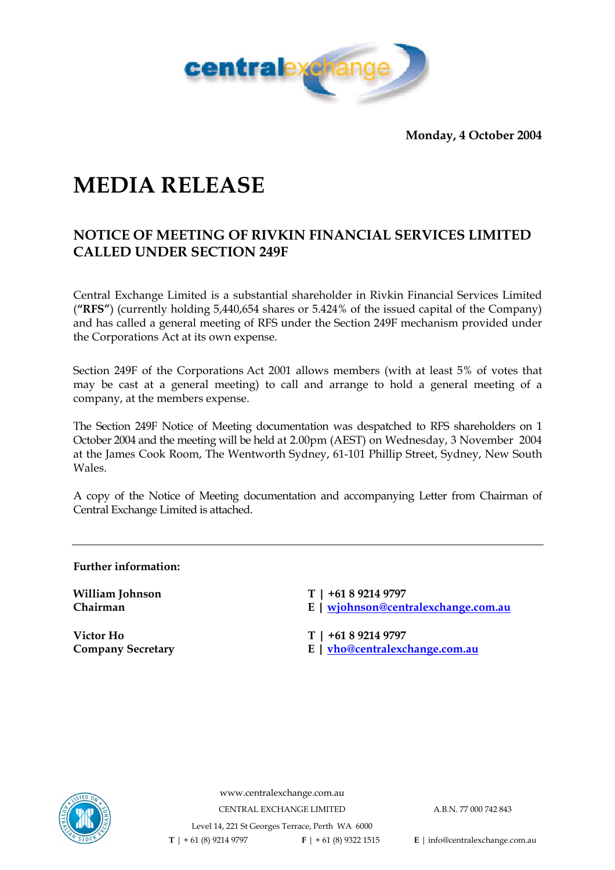

**Monday, 4 October 2004** 

# **MEDIA RELEASE**

### **NOTICE OF MEETING OF RIVKIN FINANCIAL SERVICES LIMITED CALLED UNDER SECTION 249F**

Central Exchange Limited is a substantial shareholder in Rivkin Financial Services Limited (**"RFS"**) (currently holding 5,440,654 shares or 5.424% of the issued capital of the Company) and has called a general meeting of RFS under the Section 249F mechanism provided under the Corporations Act at its own expense.

Section 249F of the Corporations Act 2001 allows members (with at least 5% of votes that may be cast at a general meeting) to call and arrange to hold a general meeting of a company, at the members expense.

The Section 249F Notice of Meeting documentation was despatched to RFS shareholders on 1 October 2004 and the meeting will be held at 2.00pm (AEST) on Wednesday, 3 November 2004 at the James Cook Room, The Wentworth Sydney, 61-101 Phillip Street, Sydney, New South Wales.

A copy of the Notice of Meeting documentation and accompanying Letter from Chairman of Central Exchange Limited is attached.

**Further information:** 

**Victor Ho T | +61 8 9214 9797** 

William Johnson **T** | +61 8 9214 9797

**Chairman E | wjohnson@centralexchange.com.au**

**Company Secretary E | vho@centralexchange.com.au**



www.centralexchange.com.au CENTRAL EXCHANGE LIMITED A.B.N. 77 000 742 843 Level 14, 221 St Georges Terrace, Perth WA 6000  **T** | + 61 (8) 9214 9797 **F** | + 61 (8) 9322 1515 **E** | info@centralexchange.com.au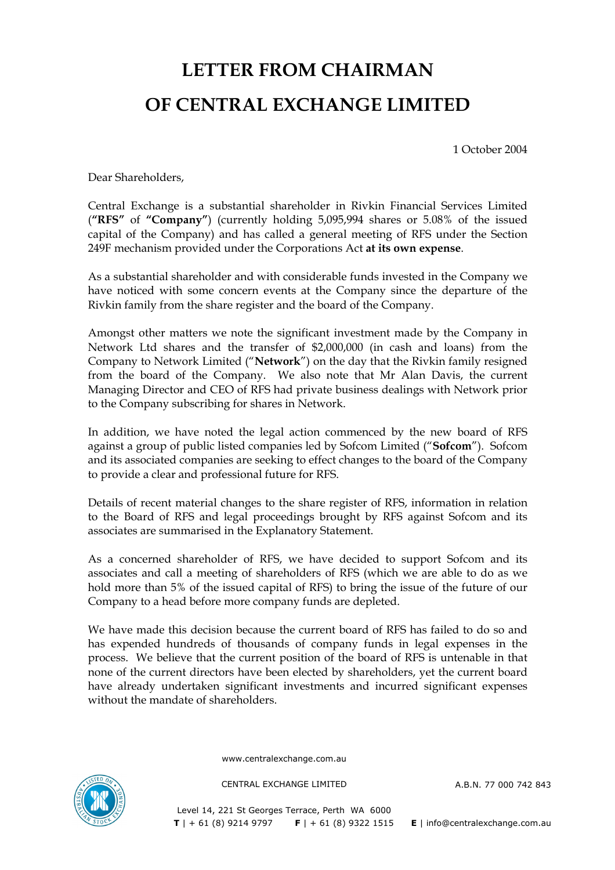# **LETTER FROM CHAIRMAN OF CENTRAL EXCHANGE LIMITED**

1 October 2004

Dear Shareholders,

Central Exchange is a substantial shareholder in Rivkin Financial Services Limited (**"RFS"** of **"Company"**) (currently holding 5,095,994 shares or 5.08% of the issued capital of the Company) and has called a general meeting of RFS under the Section 249F mechanism provided under the Corporations Act **at its own expense**.

As a substantial shareholder and with considerable funds invested in the Company we have noticed with some concern events at the Company since the departure of the Rivkin family from the share register and the board of the Company.

Amongst other matters we note the significant investment made by the Company in Network Ltd shares and the transfer of \$2,000,000 (in cash and loans) from the Company to Network Limited ("**Network**") on the day that the Rivkin family resigned from the board of the Company. We also note that Mr Alan Davis, the current Managing Director and CEO of RFS had private business dealings with Network prior to the Company subscribing for shares in Network.

In addition, we have noted the legal action commenced by the new board of RFS against a group of public listed companies led by Sofcom Limited ("**Sofcom**"). Sofcom and its associated companies are seeking to effect changes to the board of the Company to provide a clear and professional future for RFS.

Details of recent material changes to the share register of RFS, information in relation to the Board of RFS and legal proceedings brought by RFS against Sofcom and its associates are summarised in the Explanatory Statement.

As a concerned shareholder of RFS, we have decided to support Sofcom and its associates and call a meeting of shareholders of RFS (which we are able to do as we hold more than 5% of the issued capital of RFS) to bring the issue of the future of our Company to a head before more company funds are depleted.

We have made this decision because the current board of RFS has failed to do so and has expended hundreds of thousands of company funds in legal expenses in the process. We believe that the current position of the board of RFS is untenable in that none of the current directors have been elected by shareholders, yet the current board have already undertaken significant investments and incurred significant expenses without the mandate of shareholders.

www.centralexchange.com.au



CENTRAL EXCHANGE LIMITED A.B.N. 77 000 742 843

Level 14, 221 St Georges Terrace, Perth WA 6000  **T** | + 61 (8) 9214 9797 **F** | + 61 (8) 9322 1515 **E** | info@centralexchange.com.au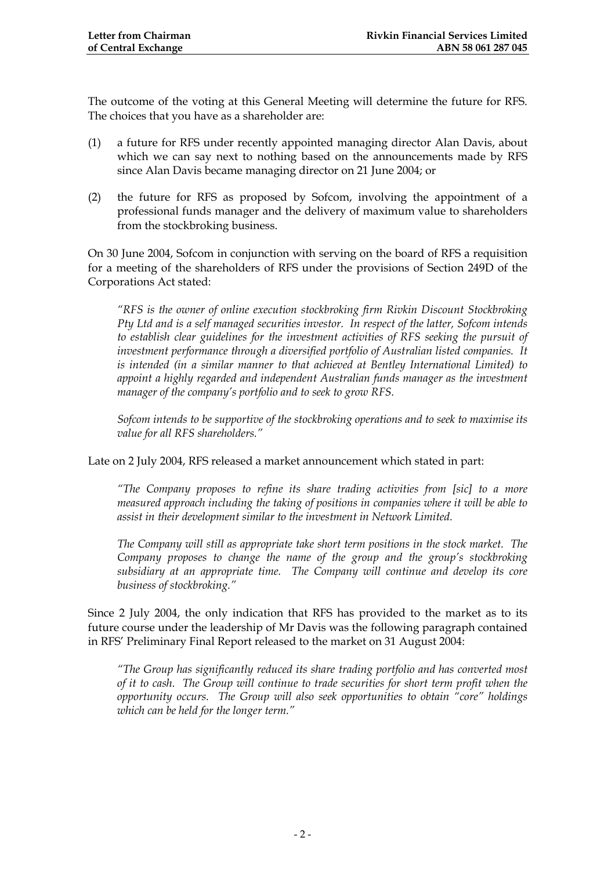The outcome of the voting at this General Meeting will determine the future for RFS. The choices that you have as a shareholder are:

- (1) a future for RFS under recently appointed managing director Alan Davis, about which we can say next to nothing based on the announcements made by RFS since Alan Davis became managing director on 21 June 2004; or
- (2) the future for RFS as proposed by Sofcom, involving the appointment of a professional funds manager and the delivery of maximum value to shareholders from the stockbroking business.

On 30 June 2004, Sofcom in conjunction with serving on the board of RFS a requisition for a meeting of the shareholders of RFS under the provisions of Section 249D of the Corporations Act stated:

*"RFS is the owner of online execution stockbroking firm Rivkin Discount Stockbroking Pty Ltd and is a self managed securities investor. In respect of the latter, Sofcom intends to establish clear guidelines for the investment activities of RFS seeking the pursuit of investment performance through a diversified portfolio of Australian listed companies. It is intended (in a similar manner to that achieved at Bentley International Limited) to appoint a highly regarded and independent Australian funds manager as the investment manager of the company's portfolio and to seek to grow RFS.* 

*Sofcom intends to be supportive of the stockbroking operations and to seek to maximise its value for all RFS shareholders."* 

Late on 2 July 2004, RFS released a market announcement which stated in part:

*"The Company proposes to refine its share trading activities from [sic] to a more measured approach including the taking of positions in companies where it will be able to assist in their development similar to the investment in Network Limited.* 

*The Company will still as appropriate take short term positions in the stock market. The Company proposes to change the name of the group and the group's stockbroking subsidiary at an appropriate time. The Company will continue and develop its core business of stockbroking."* 

Since 2 July 2004, the only indication that RFS has provided to the market as to its future course under the leadership of Mr Davis was the following paragraph contained in RFS' Preliminary Final Report released to the market on 31 August 2004:

*"The Group has significantly reduced its share trading portfolio and has converted most of it to cash. The Group will continue to trade securities for short term profit when the opportunity occurs. The Group will also seek opportunities to obtain "core" holdings which can be held for the longer term."*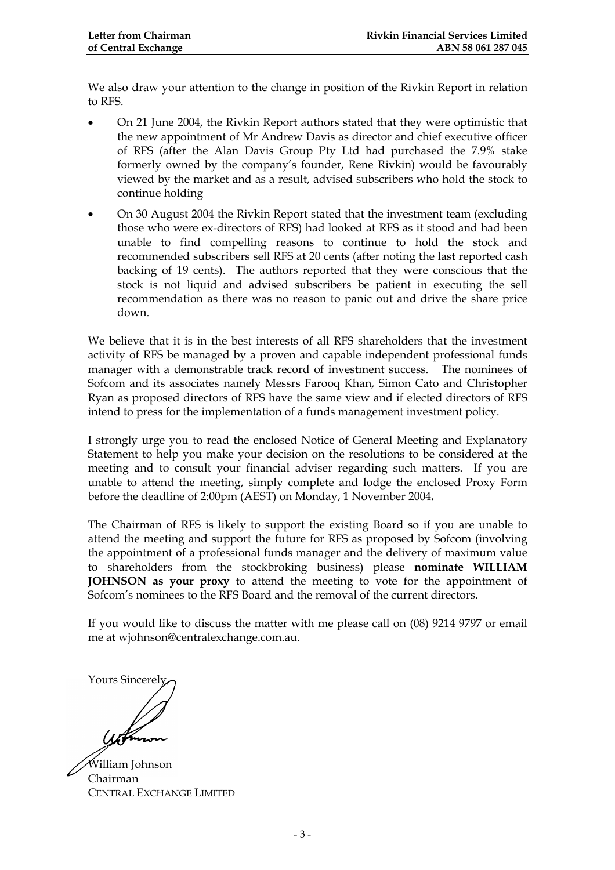We also draw your attention to the change in position of the Rivkin Report in relation to RFS.

- On 21 June 2004, the Rivkin Report authors stated that they were optimistic that the new appointment of Mr Andrew Davis as director and chief executive officer of RFS (after the Alan Davis Group Pty Ltd had purchased the 7.9% stake formerly owned by the company's founder, Rene Rivkin) would be favourably viewed by the market and as a result, advised subscribers who hold the stock to continue holding
- On 30 August 2004 the Rivkin Report stated that the investment team (excluding those who were ex-directors of RFS) had looked at RFS as it stood and had been unable to find compelling reasons to continue to hold the stock and recommended subscribers sell RFS at 20 cents (after noting the last reported cash backing of 19 cents). The authors reported that they were conscious that the stock is not liquid and advised subscribers be patient in executing the sell recommendation as there was no reason to panic out and drive the share price down.

We believe that it is in the best interests of all RFS shareholders that the investment activity of RFS be managed by a proven and capable independent professional funds manager with a demonstrable track record of investment success. The nominees of Sofcom and its associates namely Messrs Farooq Khan, Simon Cato and Christopher Ryan as proposed directors of RFS have the same view and if elected directors of RFS intend to press for the implementation of a funds management investment policy.

I strongly urge you to read the enclosed Notice of General Meeting and Explanatory Statement to help you make your decision on the resolutions to be considered at the meeting and to consult your financial adviser regarding such matters. If you are unable to attend the meeting, simply complete and lodge the enclosed Proxy Form before the deadline of 2:00pm (AEST) on Monday, 1 November 2004**.** 

The Chairman of RFS is likely to support the existing Board so if you are unable to attend the meeting and support the future for RFS as proposed by Sofcom (involving the appointment of a professional funds manager and the delivery of maximum value to shareholders from the stockbroking business) please **nominate WILLIAM JOHNSON as your proxy** to attend the meeting to vote for the appointment of Sofcom's nominees to the RFS Board and the removal of the current directors.

If you would like to discuss the matter with me please call on (08) 9214 9797 or email me at wjohnson@centralexchange.com.au.

Yours Sincerely,

William Johnson Chairman CENTRAL EXCHANGE LIMITED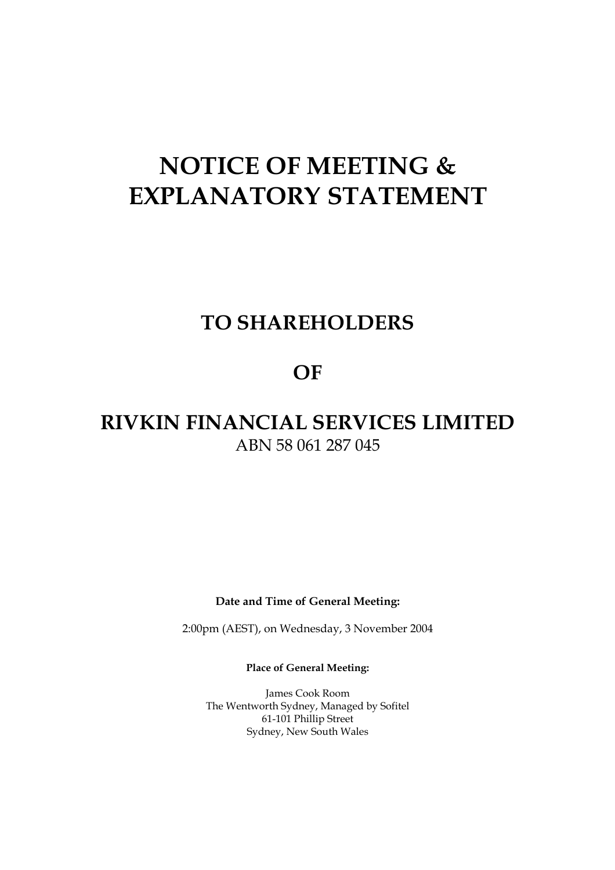# **NOTICE OF MEETING & EXPLANATORY STATEMENT**

## **TO SHAREHOLDERS**

### **OF**

## **RIVKIN FINANCIAL SERVICES LIMITED**  ABN 58 061 287 045

**Date and Time of General Meeting:** 

2:00pm (AEST), on Wednesday, 3 November 2004

**Place of General Meeting:** 

James Cook Room The Wentworth Sydney, Managed by Sofitel 61-101 Phillip Street Sydney, New South Wales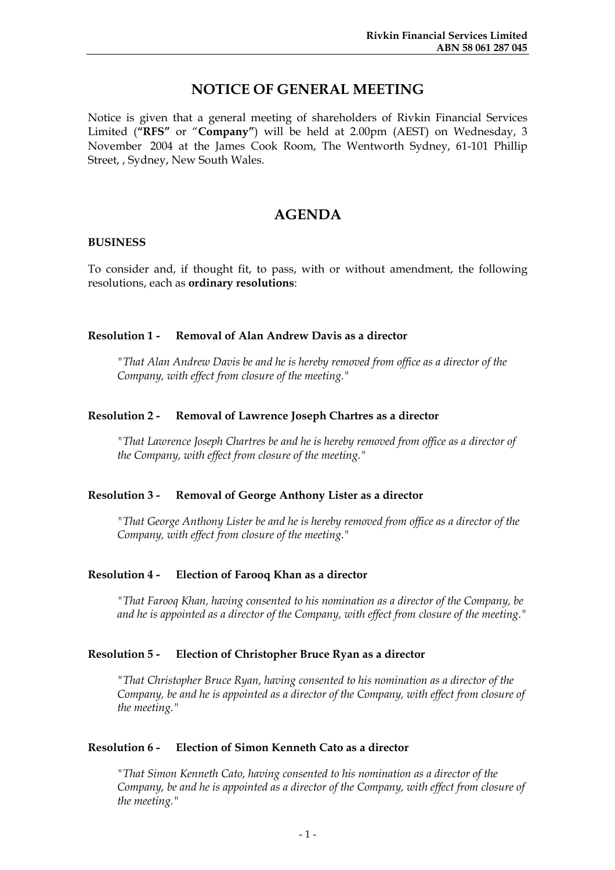### **NOTICE OF GENERAL MEETING**

Notice is given that a general meeting of shareholders of Rivkin Financial Services Limited ("RFS" or "Company") will be held at 2.00pm (AEST) on Wednesday, 3 November 2004 at the James Cook Room, The Wentworth Sydney, 61-101 Phillip Street, , Sydney, New South Wales.

### **AGENDA**

#### **BUSINESS**

To consider and, if thought fit, to pass, with or without amendment, the following resolutions, each as **ordinary resolutions**:

#### **Resolution 1 - Removal of Alan Andrew Davis as a director**

*"That Alan Andrew Davis be and he is hereby removed from office as a director of the Company, with effect from closure of the meeting."* 

#### **Resolution 2 - Removal of Lawrence Joseph Chartres as a director**

*"That Lawrence Joseph Chartres be and he is hereby removed from office as a director of the Company, with effect from closure of the meeting."* 

#### **Resolution 3 - Removal of George Anthony Lister as a director**

*"That George Anthony Lister be and he is hereby removed from office as a director of the Company, with effect from closure of the meeting."* 

#### **Resolution 4 - Election of Farooq Khan as a director**

*"That Farooq Khan, having consented to his nomination as a director of the Company, be and he is appointed as a director of the Company, with effect from closure of the meeting."* 

#### **Resolution 5 - Election of Christopher Bruce Ryan as a director**

*"That Christopher Bruce Ryan, having consented to his nomination as a director of the Company, be and he is appointed as a director of the Company, with effect from closure of the meeting."* 

#### **Resolution 6 - Election of Simon Kenneth Cato as a director**

*"That Simon Kenneth Cato, having consented to his nomination as a director of the Company, be and he is appointed as a director of the Company, with effect from closure of the meeting."*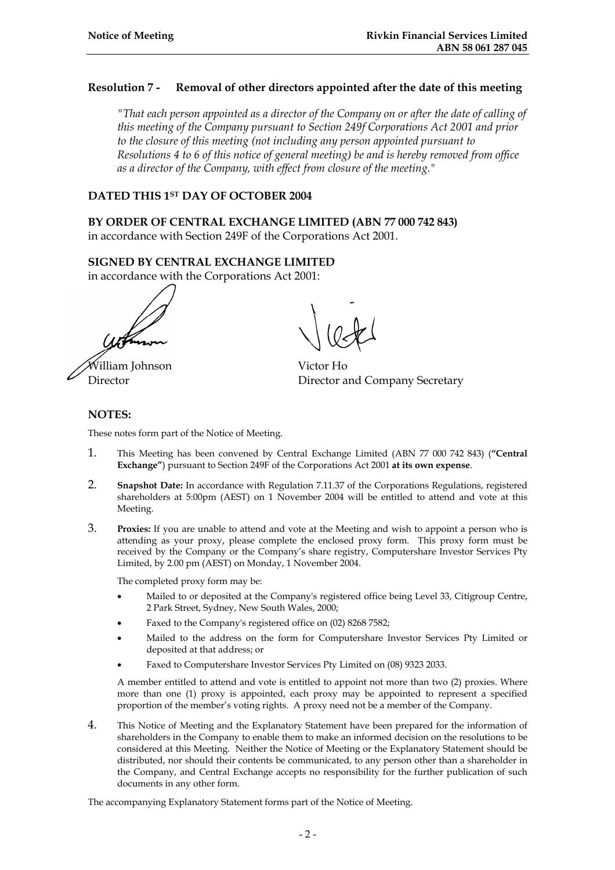#### **Resolution 7 - Removal of other directors appointed after the date of this meeting**

*"That each person appointed as a director of the Company on or after the date of calling of this meeting of the Company pursuant to Section 249f Corporations Act 2001 and prior to the closure of this meeting (not including any person appointed pursuant to Resolutions 4 to 6 of this notice of general meeting) be and is hereby removed from office as a director of the Company, with effect from closure of the meeting."* 

#### **DATED THIS 1ST DAY OF OCTOBER 2004**

**BY ORDER OF CENTRAL EXCHANGE LIMITED (ABN 77 000 742 843)**  in accordance with Section 249F of the Corporations Act 2001.

#### **SIGNED BY CENTRAL EXCHANGE LIMITED**

in accordance with the Corporations Act 2001:

William Johnson Victor Ho

Director Director and Company Secretary

#### **NOTES:**

These notes form part of the Notice of Meeting.

- 1. This Meeting has been convened by Central Exchange Limited (ABN 77 000 742 843) (**"Central Exchange"**) pursuant to Section 249F of the Corporations Act 2001 **at its own expense**.
- 2. **Snapshot Date:** In accordance with Regulation 7.11.37 of the Corporations Regulations, registered shareholders at 5:00pm (AEST) on 1 November 2004 will be entitled to attend and vote at this Meeting.
- 3. **Proxies:** If you are unable to attend and vote at the Meeting and wish to appoint a person who is attending as your proxy, please complete the enclosed proxy form. This proxy form must be received by the Company or the Company's share registry, Computershare Investor Services Pty Limited, by 2.00 pm (AEST) on Monday, 1 November 2004.

The completed proxy form may be:

- Mailed to or deposited at the Company's registered office being Level 33, Citigroup Centre, 2 Park Street, Sydney, New South Wales, 2000;
- Faxed to the Company's registered office on (02) 8268 7582;
- Mailed to the address on the form for Computershare Investor Services Pty Limited or deposited at that address; or
- Faxed to Computershare Investor Services Pty Limited on (08) 9323 2033.

A member entitled to attend and vote is entitled to appoint not more than two (2) proxies. Where more than one (1) proxy is appointed, each proxy may be appointed to represent a specified proportion of the member's voting rights. A proxy need not be a member of the Company.

4. This Notice of Meeting and the Explanatory Statement have been prepared for the information of shareholders in the Company to enable them to make an informed decision on the resolutions to be considered at this Meeting. Neither the Notice of Meeting or the Explanatory Statement should be distributed, nor should their contents be communicated, to any person other than a shareholder in the Company, and Central Exchange accepts no responsibility for the further publication of such documents in any other form.

The accompanying Explanatory Statement forms part of the Notice of Meeting.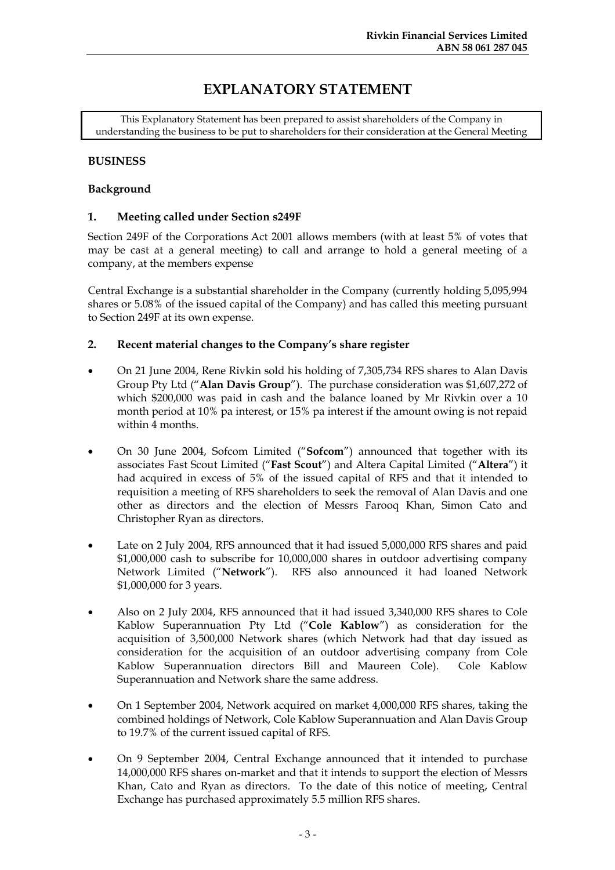### **EXPLANATORY STATEMENT**

This Explanatory Statement has been prepared to assist shareholders of the Company in understanding the business to be put to shareholders for their consideration at the General Meeting

#### **BUSINESS**

#### **Background**

#### **1. Meeting called under Section s249F**

Section 249F of the Corporations Act 2001 allows members (with at least 5% of votes that may be cast at a general meeting) to call and arrange to hold a general meeting of a company, at the members expense

Central Exchange is a substantial shareholder in the Company (currently holding 5,095,994 shares or 5.08% of the issued capital of the Company) and has called this meeting pursuant to Section 249F at its own expense.

#### **2. Recent material changes to the Company's share register**

- On 21 June 2004, Rene Rivkin sold his holding of 7,305,734 RFS shares to Alan Davis Group Pty Ltd ("**Alan Davis Group**"). The purchase consideration was \$1,607,272 of which \$200,000 was paid in cash and the balance loaned by Mr Rivkin over a 10 month period at 10% pa interest, or 15% pa interest if the amount owing is not repaid within 4 months.
- On 30 June 2004, Sofcom Limited ("**Sofcom**") announced that together with its associates Fast Scout Limited ("**Fast Scout**") and Altera Capital Limited ("**Altera**") it had acquired in excess of 5% of the issued capital of RFS and that it intended to requisition a meeting of RFS shareholders to seek the removal of Alan Davis and one other as directors and the election of Messrs Farooq Khan, Simon Cato and Christopher Ryan as directors.
- Late on 2 July 2004, RFS announced that it had issued 5,000,000 RFS shares and paid \$1,000,000 cash to subscribe for 10,000,000 shares in outdoor advertising company Network Limited ("**Network**"). RFS also announced it had loaned Network \$1,000,000 for 3 years.
- Also on 2 July 2004, RFS announced that it had issued 3,340,000 RFS shares to Cole Kablow Superannuation Pty Ltd ("**Cole Kablow**") as consideration for the acquisition of 3,500,000 Network shares (which Network had that day issued as consideration for the acquisition of an outdoor advertising company from Cole Kablow Superannuation directors Bill and Maureen Cole). Cole Kablow Superannuation and Network share the same address.
- On 1 September 2004, Network acquired on market 4,000,000 RFS shares, taking the combined holdings of Network, Cole Kablow Superannuation and Alan Davis Group to 19.7% of the current issued capital of RFS.
- On 9 September 2004, Central Exchange announced that it intended to purchase 14,000,000 RFS shares on-market and that it intends to support the election of Messrs Khan, Cato and Ryan as directors. To the date of this notice of meeting, Central Exchange has purchased approximately 5.5 million RFS shares.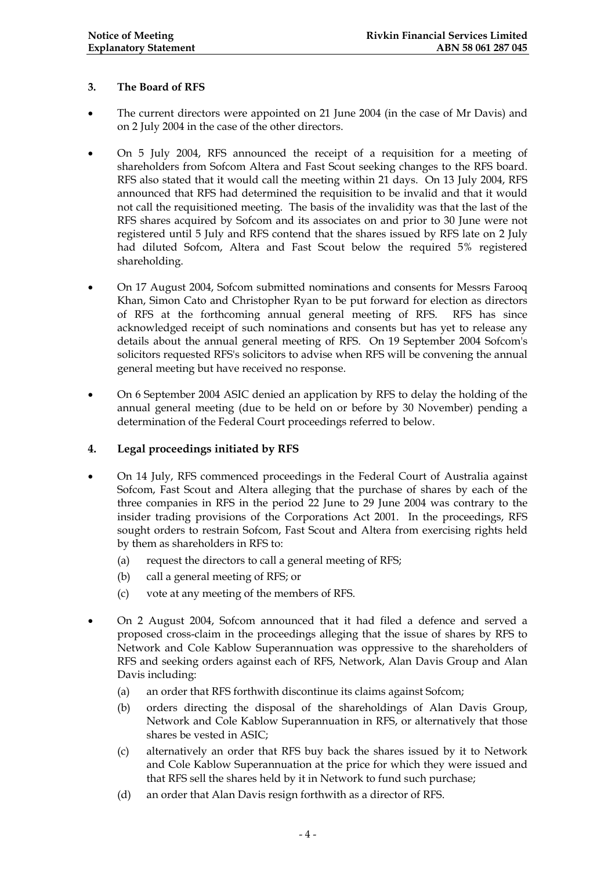#### **3. The Board of RFS**

- The current directors were appointed on 21 June 2004 (in the case of Mr Davis) and on 2 July 2004 in the case of the other directors.
- On 5 July 2004, RFS announced the receipt of a requisition for a meeting of shareholders from Sofcom Altera and Fast Scout seeking changes to the RFS board. RFS also stated that it would call the meeting within 21 days. On 13 July 2004, RFS announced that RFS had determined the requisition to be invalid and that it would not call the requisitioned meeting. The basis of the invalidity was that the last of the RFS shares acquired by Sofcom and its associates on and prior to 30 June were not registered until 5 July and RFS contend that the shares issued by RFS late on 2 July had diluted Sofcom, Altera and Fast Scout below the required 5% registered shareholding.
- On 17 August 2004, Sofcom submitted nominations and consents for Messrs Farooq Khan, Simon Cato and Christopher Ryan to be put forward for election as directors of RFS at the forthcoming annual general meeting of RFS. RFS has since acknowledged receipt of such nominations and consents but has yet to release any details about the annual general meeting of RFS. On 19 September 2004 Sofcom's solicitors requested RFS's solicitors to advise when RFS will be convening the annual general meeting but have received no response.
- On 6 September 2004 ASIC denied an application by RFS to delay the holding of the annual general meeting (due to be held on or before by 30 November) pending a determination of the Federal Court proceedings referred to below.

#### **4. Legal proceedings initiated by RFS**

- On 14 July, RFS commenced proceedings in the Federal Court of Australia against Sofcom, Fast Scout and Altera alleging that the purchase of shares by each of the three companies in RFS in the period 22 June to 29 June 2004 was contrary to the insider trading provisions of the Corporations Act 2001. In the proceedings, RFS sought orders to restrain Sofcom, Fast Scout and Altera from exercising rights held by them as shareholders in RFS to:
	- (a) request the directors to call a general meeting of RFS;
	- (b) call a general meeting of RFS; or
	- (c) vote at any meeting of the members of RFS.
- On 2 August 2004, Sofcom announced that it had filed a defence and served a proposed cross-claim in the proceedings alleging that the issue of shares by RFS to Network and Cole Kablow Superannuation was oppressive to the shareholders of RFS and seeking orders against each of RFS, Network, Alan Davis Group and Alan Davis including:
	- (a) an order that RFS forthwith discontinue its claims against Sofcom;
	- (b) orders directing the disposal of the shareholdings of Alan Davis Group, Network and Cole Kablow Superannuation in RFS, or alternatively that those shares be vested in ASIC;
	- (c) alternatively an order that RFS buy back the shares issued by it to Network and Cole Kablow Superannuation at the price for which they were issued and that RFS sell the shares held by it in Network to fund such purchase;
	- (d) an order that Alan Davis resign forthwith as a director of RFS.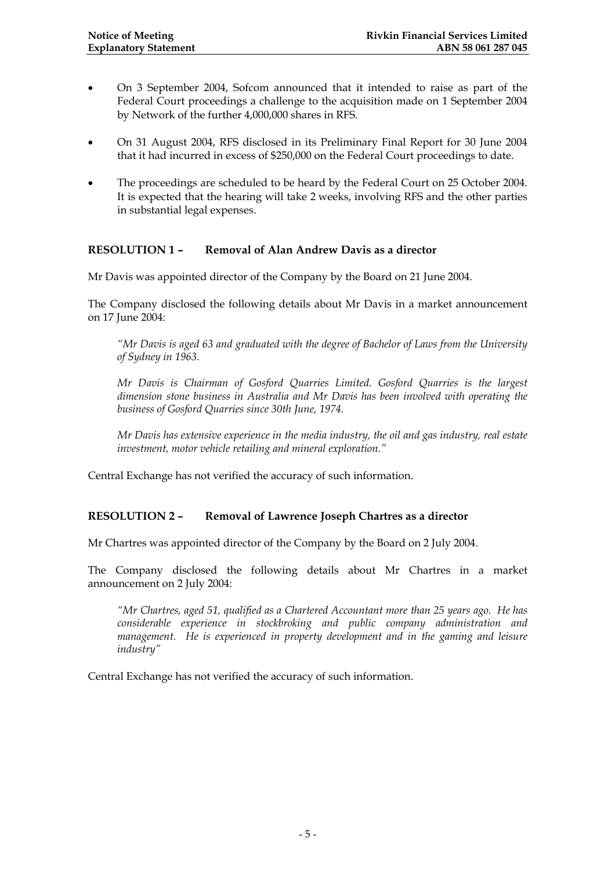- On 3 September 2004, Sofcom announced that it intended to raise as part of the Federal Court proceedings a challenge to the acquisition made on 1 September 2004 by Network of the further 4,000,000 shares in RFS.
- On 31 August 2004, RFS disclosed in its Preliminary Final Report for 30 June 2004 that it had incurred in excess of \$250,000 on the Federal Court proceedings to date.
- The proceedings are scheduled to be heard by the Federal Court on 25 October 2004. It is expected that the hearing will take 2 weeks, involving RFS and the other parties in substantial legal expenses.

#### **RESOLUTION 1 – Removal of Alan Andrew Davis as a director**

Mr Davis was appointed director of the Company by the Board on 21 June 2004.

The Company disclosed the following details about Mr Davis in a market announcement on 17 June 2004:

*"Mr Davis is aged 63 and graduated with the degree of Bachelor of Laws from the University of Sydney in 1963.* 

*Mr Davis is Chairman of Gosford Quarries Limited. Gosford Quarries is the largest dimension stone business in Australia and Mr Davis has been involved with operating the business of Gosford Quarries since 30th June, 1974.* 

*Mr Davis has extensive experience in the media industry, the oil and gas industry, real estate investment, motor vehicle retailing and mineral exploration."* 

Central Exchange has not verified the accuracy of such information.

#### **RESOLUTION 2 – Removal of Lawrence Joseph Chartres as a director**

Mr Chartres was appointed director of the Company by the Board on 2 July 2004.

The Company disclosed the following details about Mr Chartres in a market announcement on 2 July 2004:

*"Mr Chartres, aged 51, qualified as a Chartered Accountant more than 25 years ago. He has considerable experience in stockbroking and public company administration and management. He is experienced in property development and in the gaming and leisure industry"* 

Central Exchange has not verified the accuracy of such information.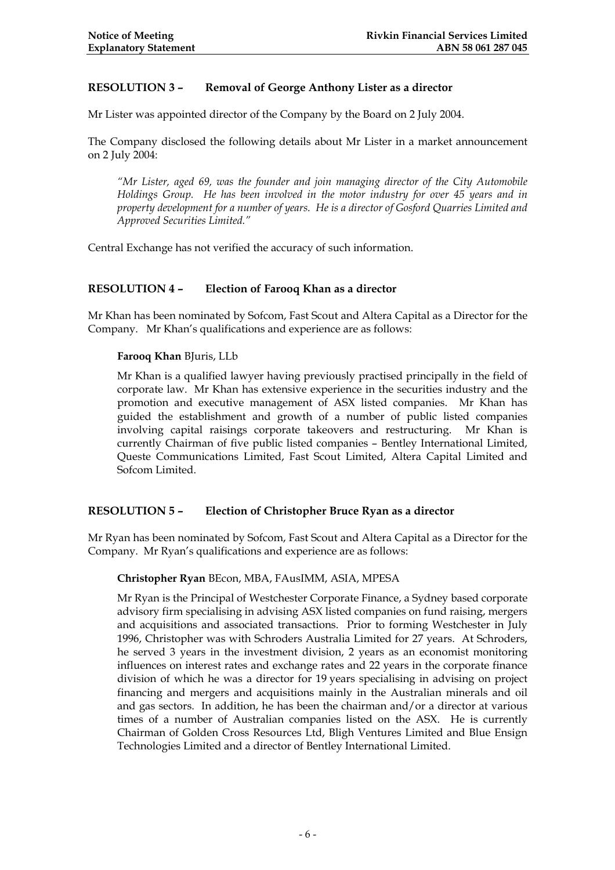#### **RESOLUTION 3 – Removal of George Anthony Lister as a director**

Mr Lister was appointed director of the Company by the Board on 2 July 2004.

The Company disclosed the following details about Mr Lister in a market announcement on 2 July 2004:

*"Mr Lister, aged 69, was the founder and join managing director of the City Automobile Holdings Group. He has been involved in the motor industry for over 45 years and in property development for a number of years. He is a director of Gosford Quarries Limited and Approved Securities Limited."* 

Central Exchange has not verified the accuracy of such information.

#### **RESOLUTION 4 – Election of Farooq Khan as a director**

Mr Khan has been nominated by Sofcom, Fast Scout and Altera Capital as a Director for the Company. Mr Khan's qualifications and experience are as follows:

#### **Farooq Khan** BJuris, LLb

Mr Khan is a qualified lawyer having previously practised principally in the field of corporate law. Mr Khan has extensive experience in the securities industry and the promotion and executive management of ASX listed companies. Mr Khan has guided the establishment and growth of a number of public listed companies involving capital raisings corporate takeovers and restructuring. Mr Khan is currently Chairman of five public listed companies – Bentley International Limited, Queste Communications Limited, Fast Scout Limited, Altera Capital Limited and Sofcom Limited.

#### **RESOLUTION 5 – Election of Christopher Bruce Ryan as a director**

Mr Ryan has been nominated by Sofcom, Fast Scout and Altera Capital as a Director for the Company. Mr Ryan's qualifications and experience are as follows:

#### **Christopher Ryan** BEcon, MBA, FAusIMM, ASIA, MPESA

Mr Ryan is the Principal of Westchester Corporate Finance, a Sydney based corporate advisory firm specialising in advising ASX listed companies on fund raising, mergers and acquisitions and associated transactions. Prior to forming Westchester in July 1996, Christopher was with Schroders Australia Limited for 27 years. At Schroders, he served 3 years in the investment division, 2 years as an economist monitoring influences on interest rates and exchange rates and 22 years in the corporate finance division of which he was a director for 19 years specialising in advising on project financing and mergers and acquisitions mainly in the Australian minerals and oil and gas sectors. In addition, he has been the chairman and/or a director at various times of a number of Australian companies listed on the ASX. He is currently Chairman of Golden Cross Resources Ltd, Bligh Ventures Limited and Blue Ensign Technologies Limited and a director of Bentley International Limited.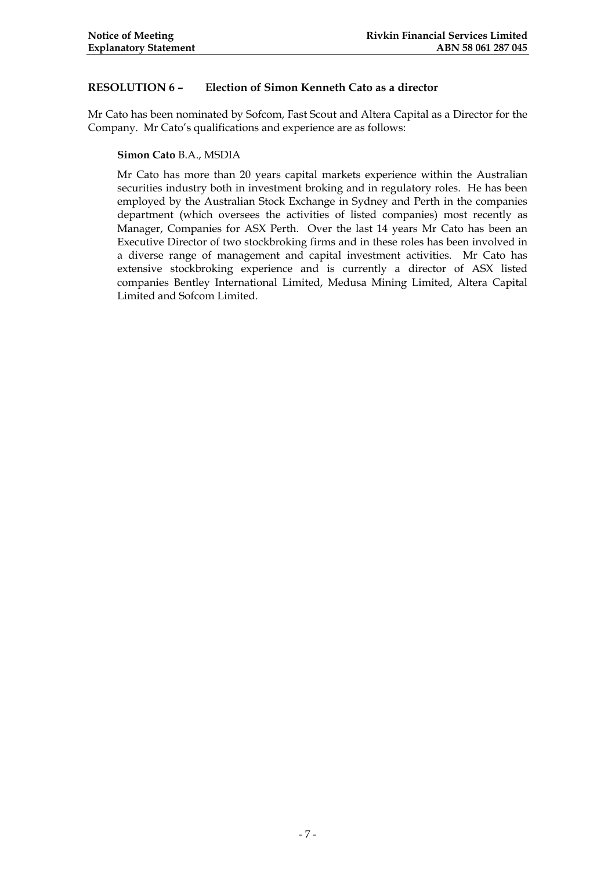#### **RESOLUTION 6 – Election of Simon Kenneth Cato as a director**

Mr Cato has been nominated by Sofcom, Fast Scout and Altera Capital as a Director for the Company. Mr Cato's qualifications and experience are as follows:

**Simon Cato** B.A., MSDIA

Mr Cato has more than 20 years capital markets experience within the Australian securities industry both in investment broking and in regulatory roles. He has been employed by the Australian Stock Exchange in Sydney and Perth in the companies department (which oversees the activities of listed companies) most recently as Manager, Companies for ASX Perth. Over the last 14 years Mr Cato has been an Executive Director of two stockbroking firms and in these roles has been involved in a diverse range of management and capital investment activities. Mr Cato has extensive stockbroking experience and is currently a director of ASX listed companies Bentley International Limited, Medusa Mining Limited, Altera Capital Limited and Sofcom Limited.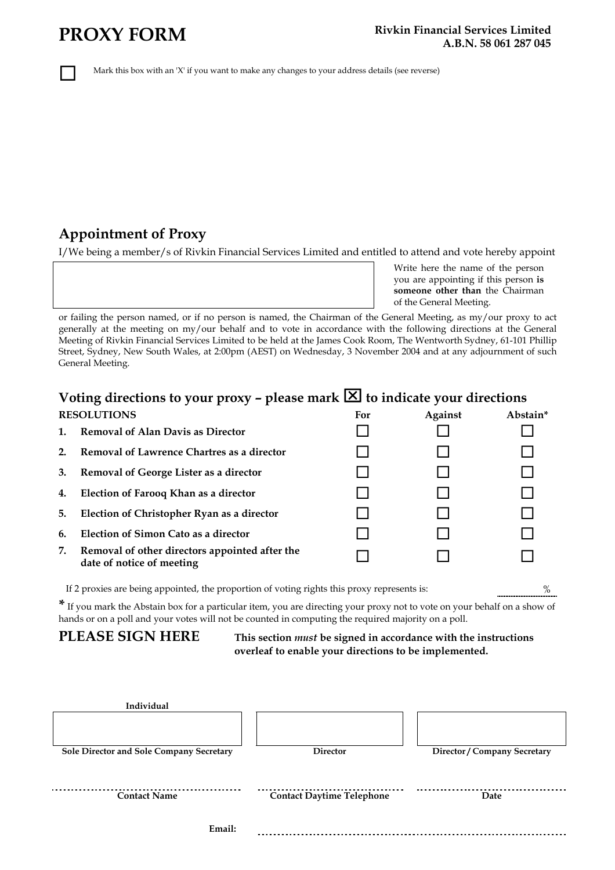Mark this box with an 'X' if you want to make any changes to your address details (see reverse)

### **Appointment of Proxy**

I/We being a member/s of Rivkin Financial Services Limited and entitled to attend and vote hereby appoint

Write here the name of the person you are appointing if this person **is someone other than** the Chairman of the General Meeting.

or failing the person named, or if no person is named, the Chairman of the General Meeting, as my/our proxy to act generally at the meeting on my/our behalf and to vote in accordance with the following directions at the General Meeting of Rivkin Financial Services Limited to be held at the James Cook Room, The Wentworth Sydney, 61-101 Phillip Street, Sydney, New South Wales, at 2:00pm (AEST) on Wednesday, 3 November 2004 and at any adjournment of such General Meeting.

### **Voting directions to your proxy - please mark**  $\boxed{\times}$  **to indicate your directions**

| <b>RESOLUTIONS</b> |                                                                                                  | For | <b>Against</b> | Abstain* |  |
|--------------------|--------------------------------------------------------------------------------------------------|-----|----------------|----------|--|
| 1.                 | <b>Removal of Alan Davis as Director</b>                                                         |     |                |          |  |
| 2.                 | Removal of Lawrence Chartres as a director                                                       |     |                |          |  |
| 3.                 | Removal of George Lister as a director                                                           |     |                |          |  |
| 4.                 | Election of Farooq Khan as a director                                                            |     |                |          |  |
| 5.                 | Election of Christopher Ryan as a director                                                       |     |                |          |  |
| 6.                 | Election of Simon Cato as a director                                                             |     |                |          |  |
| 7.                 | Removal of other directors appointed after the<br>date of notice of meeting                      |     |                |          |  |
|                    | If 2 proxies are being appointed, the proportion of voting rights this proxy represents is:<br>% |     |                |          |  |

**\*** If you mark the Abstain box for a particular item, you are directing your proxy not to vote on your behalf on a show of

hands or on a poll and your votes will not be counted in computing the required majority on a poll.

**PLEASE SIGN HERE This section** *must* **be signed in accordance with the instructions overleaf to enable your directions to be implemented.** 

| Individual                               |                                  |                              |
|------------------------------------------|----------------------------------|------------------------------|
|                                          |                                  |                              |
| Sole Director and Sole Company Secretary | <b>Director</b>                  | Director / Company Secretary |
| <b>Contact Name</b>                      | <b>Contact Daytime Telephone</b> | Date                         |
| Email:                                   |                                  |                              |